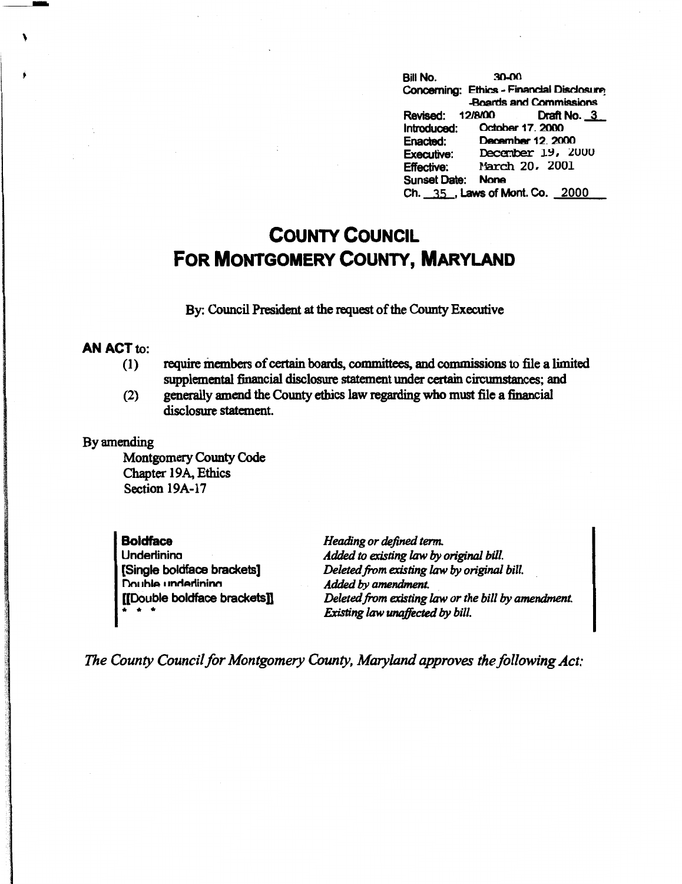Bill No. 30-00 Concerning: Ethics - Financial Disclosure **-Boards and Commissions** Revised: 12/8/00 Draft No. 3<br>Introduced: October 17, 2000 October 17. 2000<br>December 12. 2000 Executive Commissions<br>
Revised:  $12/8/00$  Draft No. 3<br>
Introduced: December 12, 2000<br>
Executive: December 19, 2000 Effective: March 20, 2001 **Sunset Date: None** Ch. --35,\_, Laws of **Mont. Co.** 2000

## **COUNTY COUNCIL FOR MONTGOMERY COUNTY, MARYLAND**

By: Council President at the request of the County Executive

## **AN ACT** to:

- (1) require members of certain boards, committees, and commissions to file a limited supplemental financial disclosure statement under certain circumstances; and
- (2) generally amend the County ethics law regarding who must file a financial disclosure statement.

## By amending

Montgomery County Code Chapter 19A, Ethics Section 19A-17

**Boldface**  Underlinina (Single boldface brackets] nn, thlA I **,nn,ulininn**  [[Double boldface brackets]] • • •

*Heading or defined term. Added to existing* law *by original bill. Deleted.from existing* law *by original bill. Added by amendment. Deleted from existing* law *or the bill by amendment. Existing law unaffected by bill.* 

*The County Council for Montgomery County, Maryland approves the following Act:*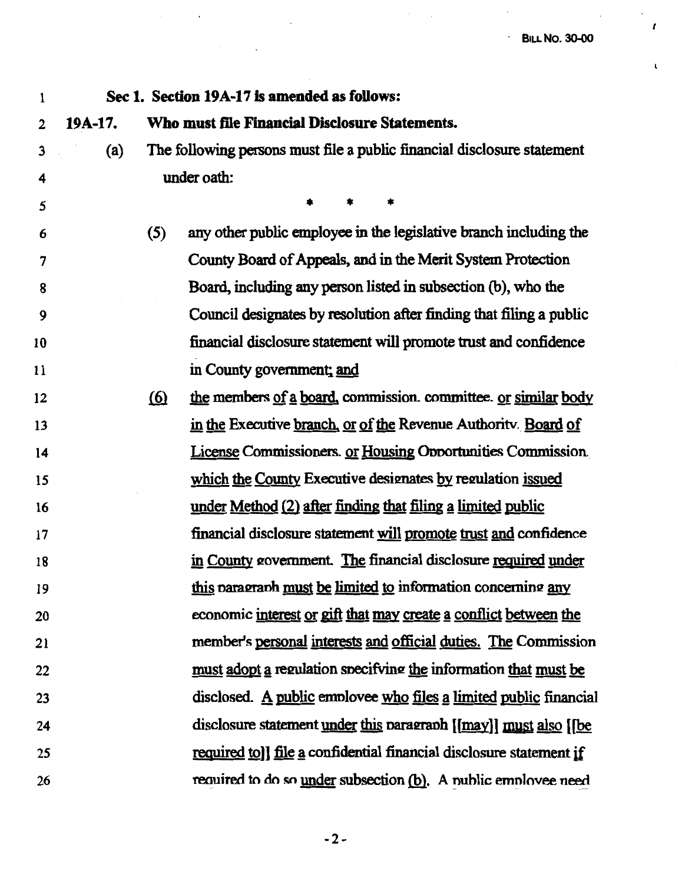$\mathcal{L}$ 

 $\mathcal{L}^{\text{max}}_{\text{max}}$  , where  $\mathcal{L}^{\text{max}}_{\text{max}}$ 

*I* 

 $\mathbf{t}$ 

 $\ddot{\phantom{0}}$ 

| 1  |         |            | Sec 1. Section 19A-17 is amended as follows:                            |
|----|---------|------------|-------------------------------------------------------------------------|
| 2  | 19A-17. |            | Who must file Financial Disclosure Statements.                          |
| 3  | (a)     |            | The following persons must file a public financial disclosure statement |
| 4  |         |            | under oath:                                                             |
| 5  |         |            |                                                                         |
| 6  |         | (5)        | any other public employee in the legislative branch including the       |
| 7  |         |            | County Board of Appeals, and in the Merit System Protection             |
| 8  |         |            | Board, including any person listed in subsection (b), who the           |
| 9  |         |            | Council designates by resolution after finding that filing a public     |
| 10 |         |            | financial disclosure statement will promote trust and confidence        |
| 11 |         |            | in County government; and                                               |
| 12 |         | <u>(6)</u> | the members of a board, commission. committee. or similar body          |
| 13 |         |            | in the Executive branch, or of the Revenue Authority Board of           |
| 14 |         |            | License Commissioners. or Housing Opportunities Commission.             |
| 15 |         |            | which the County Executive designates by regulation issued              |
| 16 |         |            | under Method (2) after finding that filing a limited public             |
| 17 |         |            | financial disclosure statement will promote trust and confidence        |
| 18 |         |            | in County government. The financial disclosure required under           |
| 19 |         |            | this paragraph must be limited to information concerning any            |
| 20 |         |            | economic interest or gift that may create a conflict between the        |
| 21 |         |            | member's personal interests and official duties. The Commission         |
| 22 |         |            | must adopt a regulation specifying the information that must be         |
| 23 |         |            | disclosed. A public employee who files a limited public financial       |
| 24 |         |            | disclosure statement <u>under this</u> paragraph [[may]] must also [[be |
| 25 |         |            | required to]] file a confidential financial disclosure statement if     |
| 26 |         |            | required to do so under subsection (b). A nublic employee need          |